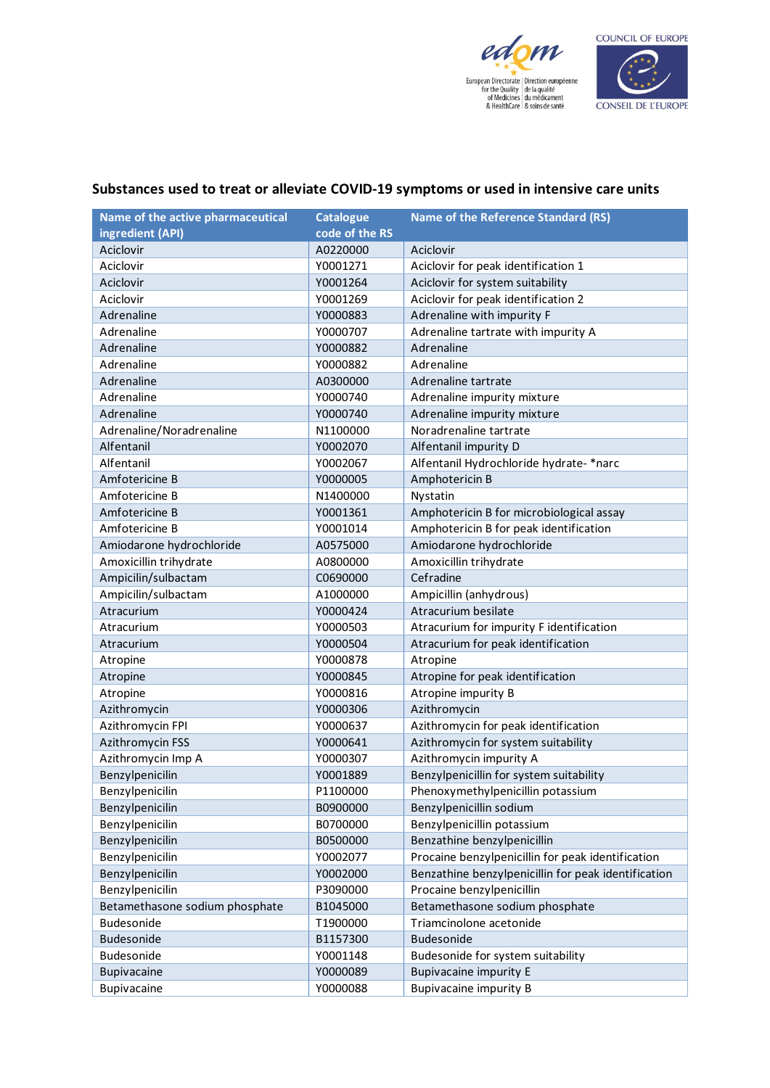



## Substances used to treat or alleviate COVID-19 symptoms or used in intensive care units

| Name of the active pharmaceutical | <b>Catalogue</b> | <b>Name of the Reference Standard (RS)</b>          |
|-----------------------------------|------------------|-----------------------------------------------------|
| ingredient (API)                  | code of the RS   |                                                     |
| Aciclovir                         | A0220000         | Aciclovir                                           |
| Aciclovir                         | Y0001271         | Aciclovir for peak identification 1                 |
| Aciclovir                         | Y0001264         | Aciclovir for system suitability                    |
| Aciclovir                         | Y0001269         | Aciclovir for peak identification 2                 |
| Adrenaline                        | Y0000883         | Adrenaline with impurity F                          |
| Adrenaline                        | Y0000707         | Adrenaline tartrate with impurity A                 |
| Adrenaline                        | Y0000882         | Adrenaline                                          |
| Adrenaline                        | Y0000882         | Adrenaline                                          |
| Adrenaline                        | A0300000         | Adrenaline tartrate                                 |
| Adrenaline                        | Y0000740         | Adrenaline impurity mixture                         |
| Adrenaline                        | Y0000740         | Adrenaline impurity mixture                         |
| Adrenaline/Noradrenaline          | N1100000         | Noradrenaline tartrate                              |
| Alfentanil                        | Y0002070         | Alfentanil impurity D                               |
| Alfentanil                        | Y0002067         | Alfentanil Hydrochloride hydrate- *narc             |
| Amfotericine B                    | Y0000005         | Amphotericin B                                      |
| Amfotericine B                    | N1400000         | Nystatin                                            |
| Amfotericine B                    | Y0001361         | Amphotericin B for microbiological assay            |
| Amfotericine B                    | Y0001014         | Amphotericin B for peak identification              |
| Amiodarone hydrochloride          | A0575000         | Amiodarone hydrochloride                            |
| Amoxicillin trihydrate            | A0800000         | Amoxicillin trihydrate                              |
| Ampicilin/sulbactam               | C0690000         | Cefradine                                           |
| Ampicilin/sulbactam               | A1000000         | Ampicillin (anhydrous)                              |
| Atracurium                        | Y0000424         | Atracurium besilate                                 |
| Atracurium                        | Y0000503         | Atracurium for impurity F identification            |
| Atracurium                        | Y0000504         | Atracurium for peak identification                  |
| Atropine                          | Y0000878         | Atropine                                            |
| Atropine                          | Y0000845         | Atropine for peak identification                    |
| Atropine                          | Y0000816         | Atropine impurity B                                 |
| Azithromycin                      | Y0000306         | Azithromycin                                        |
| Azithromycin FPI                  | Y0000637         | Azithromycin for peak identification                |
| <b>Azithromycin FSS</b>           | Y0000641         | Azithromycin for system suitability                 |
| Azithromycin Imp A                | Y0000307         | Azithromycin impurity A                             |
| Benzylpenicilin                   | Y0001889         | Benzylpenicillin for system suitability             |
| Benzylpenicilin                   | P1100000         | Phenoxymethylpenicillin potassium                   |
| Benzylpenicilin                   | B0900000         | Benzylpenicillin sodium                             |
| Benzylpenicilin                   | B0700000         | Benzylpenicillin potassium                          |
| Benzylpenicilin                   | B0500000         | Benzathine benzylpenicillin                         |
| Benzylpenicilin                   | Y0002077         | Procaine benzylpenicillin for peak identification   |
| Benzylpenicilin                   | Y0002000         | Benzathine benzylpenicillin for peak identification |
| Benzylpenicilin                   | P3090000         | Procaine benzylpenicillin                           |
| Betamethasone sodium phosphate    | B1045000         | Betamethasone sodium phosphate                      |
| Budesonide                        | T1900000         | Triamcinolone acetonide                             |
| Budesonide                        | B1157300         | Budesonide                                          |
| Budesonide                        | Y0001148         | Budesonide for system suitability                   |
| Bupivacaine                       | Y0000089         | <b>Bupivacaine impurity E</b>                       |
| Bupivacaine                       | Y0000088         | <b>Bupivacaine impurity B</b>                       |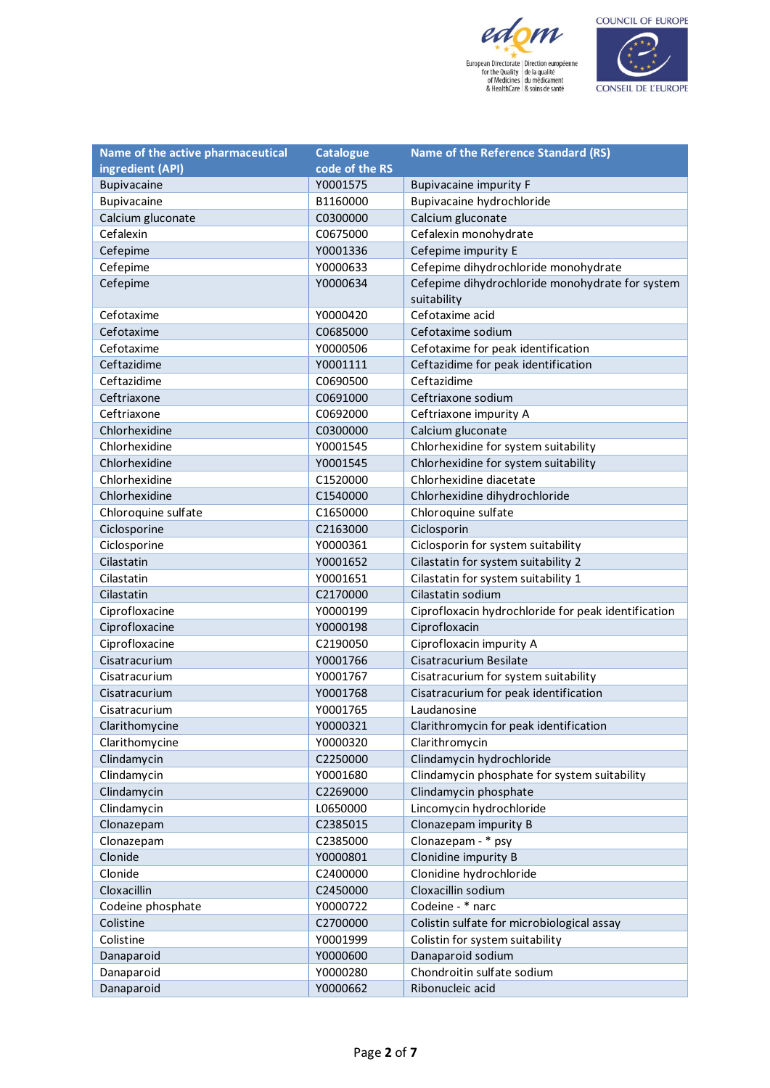



| Name of the active pharmaceutical | <b>Catalogue</b> | <b>Name of the Reference Standard (RS)</b>          |
|-----------------------------------|------------------|-----------------------------------------------------|
| ingredient (API)                  | code of the RS   |                                                     |
| Bupivacaine                       | Y0001575         | <b>Bupivacaine impurity F</b>                       |
| Bupivacaine                       | B1160000         | Bupivacaine hydrochloride                           |
| Calcium gluconate                 | C0300000         | Calcium gluconate                                   |
| Cefalexin                         | C0675000         | Cefalexin monohydrate                               |
| Cefepime                          | Y0001336         | Cefepime impurity E                                 |
| Cefepime                          | Y0000633         | Cefepime dihydrochloride monohydrate                |
| Cefepime                          | Y0000634         | Cefepime dihydrochloride monohydrate for system     |
|                                   |                  | suitability                                         |
| Cefotaxime                        | Y0000420         | Cefotaxime acid                                     |
| Cefotaxime                        | C0685000         | Cefotaxime sodium                                   |
| Cefotaxime                        | Y0000506         | Cefotaxime for peak identification                  |
| Ceftazidime                       | Y0001111         | Ceftazidime for peak identification                 |
| Ceftazidime                       | C0690500         | Ceftazidime                                         |
| Ceftriaxone                       | C0691000         | Ceftriaxone sodium                                  |
| Ceftriaxone                       | C0692000         | Ceftriaxone impurity A                              |
| Chlorhexidine                     | C0300000         | Calcium gluconate                                   |
| Chlorhexidine                     | Y0001545         | Chlorhexidine for system suitability                |
| Chlorhexidine                     | Y0001545         | Chlorhexidine for system suitability                |
| Chlorhexidine                     | C1520000         | Chlorhexidine diacetate                             |
| Chlorhexidine                     | C1540000         | Chlorhexidine dihydrochloride                       |
| Chloroquine sulfate               | C1650000         | Chloroquine sulfate                                 |
| Ciclosporine                      | C2163000         | Ciclosporin                                         |
| Ciclosporine                      | Y0000361         | Ciclosporin for system suitability                  |
| Cilastatin                        | Y0001652         | Cilastatin for system suitability 2                 |
| Cilastatin                        | Y0001651         | Cilastatin for system suitability 1                 |
| Cilastatin                        | C2170000         | Cilastatin sodium                                   |
| Ciprofloxacine                    | Y0000199         | Ciprofloxacin hydrochloride for peak identification |
| Ciprofloxacine                    | Y0000198         | Ciprofloxacin                                       |
| Ciprofloxacine                    | C2190050         | Ciprofloxacin impurity A                            |
| Cisatracurium                     | Y0001766         | Cisatracurium Besilate                              |
| Cisatracurium                     | Y0001767         | Cisatracurium for system suitability                |
| Cisatracurium                     | Y0001768         | Cisatracurium for peak identification               |
| Cisatracurium                     | Y0001765         | Laudanosine                                         |
| Clarithomycine                    | Y0000321         | Clarithromycin for peak identification              |
| Clarithomycine                    | Y0000320         | Clarithromycin                                      |
| Clindamycin                       | C2250000         | Clindamycin hydrochloride                           |
| Clindamycin                       | Y0001680         | Clindamycin phosphate for system suitability        |
| Clindamycin                       | C2269000         | Clindamycin phosphate                               |
| Clindamycin                       | L0650000         | Lincomycin hydrochloride                            |
| Clonazepam                        | C2385015         | Clonazepam impurity B                               |
| Clonazepam                        | C2385000         | Clonazepam - * psy                                  |
| Clonide                           | Y0000801         | Clonidine impurity B                                |
| Clonide                           | C2400000         | Clonidine hydrochloride                             |
| Cloxacillin                       | C2450000         | Cloxacillin sodium                                  |
| Codeine phosphate                 | Y0000722         | Codeine - * narc                                    |
| Colistine                         | C2700000         | Colistin sulfate for microbiological assay          |
| Colistine                         | Y0001999         | Colistin for system suitability                     |
| Danaparoid                        | Y0000600         | Danaparoid sodium                                   |
| Danaparoid                        | Y0000280         | Chondroitin sulfate sodium                          |
| Danaparoid                        | Y0000662         | Ribonucleic acid                                    |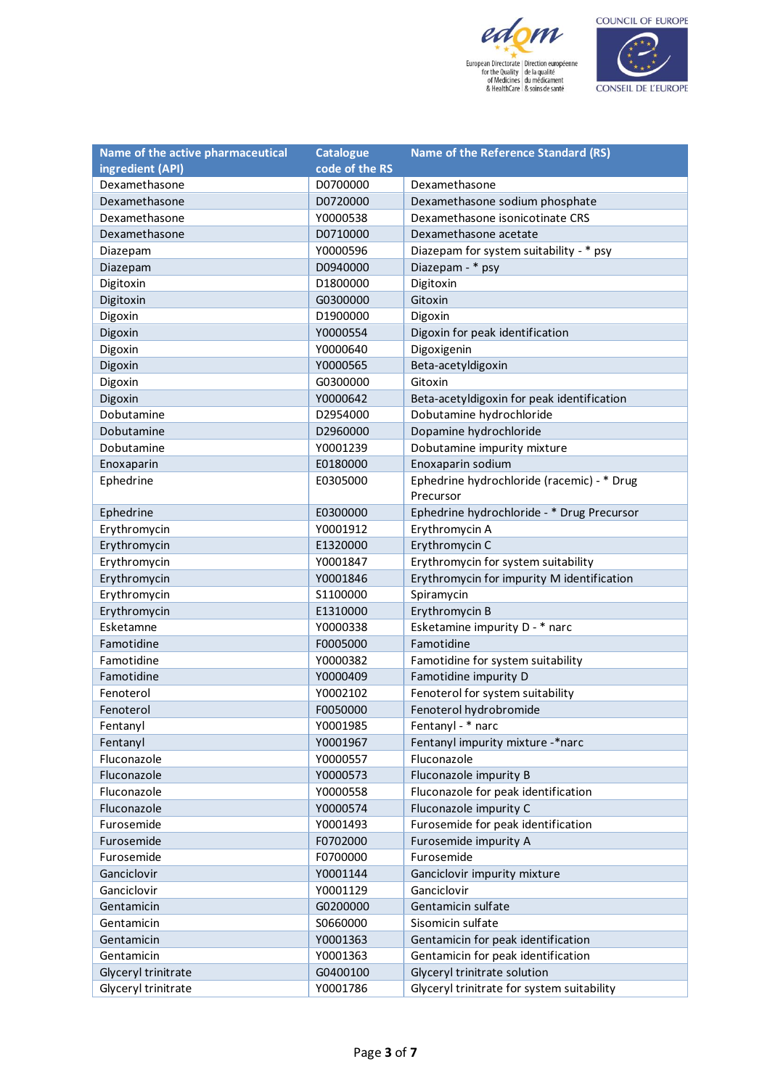



| Name of the active pharmaceutical | <b>Catalogue</b> | <b>Name of the Reference Standard (RS)</b> |
|-----------------------------------|------------------|--------------------------------------------|
| ingredient (API)                  | code of the RS   |                                            |
| Dexamethasone                     | D0700000         | Dexamethasone                              |
| Dexamethasone                     | D0720000         | Dexamethasone sodium phosphate             |
| Dexamethasone                     | Y0000538         | Dexamethasone isonicotinate CRS            |
| Dexamethasone                     | D0710000         | Dexamethasone acetate                      |
| Diazepam                          | Y0000596         | Diazepam for system suitability - * psy    |
| Diazepam                          | D0940000         | Diazepam - * psy                           |
| Digitoxin                         | D1800000         | Digitoxin                                  |
| Digitoxin                         | G0300000         | Gitoxin                                    |
| Digoxin                           | D1900000         | Digoxin                                    |
| Digoxin                           | Y0000554         | Digoxin for peak identification            |
| Digoxin                           | Y0000640         | Digoxigenin                                |
| Digoxin                           | Y0000565         | Beta-acetyldigoxin                         |
| Digoxin                           | G0300000         | Gitoxin                                    |
| Digoxin                           | Y0000642         | Beta-acetyldigoxin for peak identification |
| Dobutamine                        | D2954000         | Dobutamine hydrochloride                   |
| Dobutamine                        | D2960000         | Dopamine hydrochloride                     |
| Dobutamine                        | Y0001239         | Dobutamine impurity mixture                |
| Enoxaparin                        | E0180000         | Enoxaparin sodium                          |
| Ephedrine                         | E0305000         | Ephedrine hydrochloride (racemic) - * Drug |
|                                   |                  | Precursor                                  |
| Ephedrine                         | E0300000         | Ephedrine hydrochloride - * Drug Precursor |
| Erythromycin                      | Y0001912         | Erythromycin A                             |
| Erythromycin                      | E1320000         | Erythromycin C                             |
| Erythromycin                      | Y0001847         | Erythromycin for system suitability        |
| Erythromycin                      | Y0001846         | Erythromycin for impurity M identification |
| Erythromycin                      | S1100000         | Spiramycin                                 |
| Erythromycin                      | E1310000         | Erythromycin B                             |
| Esketamne                         | Y0000338         | Esketamine impurity D - * narc             |
| Famotidine                        | F0005000         | Famotidine                                 |
| Famotidine                        | Y0000382         | Famotidine for system suitability          |
| Famotidine                        | Y0000409         | Famotidine impurity D                      |
| Fenoterol                         | Y0002102         | Fenoterol for system suitability           |
| Fenoterol                         | F0050000         | Fenoterol hydrobromide                     |
| Fentanyl                          | Y0001985         | Fentanyl - * narc                          |
| Fentanyl                          | Y0001967         | Fentanyl impurity mixture -*narc           |
| Fluconazole                       | Y0000557         | Fluconazole                                |
| Fluconazole                       | Y0000573         | Fluconazole impurity B                     |
| Fluconazole                       | Y0000558         | Fluconazole for peak identification        |
| Fluconazole                       | Y0000574         | Fluconazole impurity C                     |
| Furosemide                        | Y0001493         | Furosemide for peak identification         |
| Furosemide                        | F0702000         | Furosemide impurity A                      |
| Furosemide                        | F0700000         | Furosemide                                 |
| Ganciclovir                       | Y0001144         | Ganciclovir impurity mixture               |
| Ganciclovir                       | Y0001129         | Ganciclovir                                |
| Gentamicin                        | G0200000         | Gentamicin sulfate                         |
| Gentamicin                        | S0660000         | Sisomicin sulfate                          |
| Gentamicin                        | Y0001363         | Gentamicin for peak identification         |
| Gentamicin                        | Y0001363         | Gentamicin for peak identification         |
| Glyceryl trinitrate               | G0400100         | Glyceryl trinitrate solution               |
| Glyceryl trinitrate               | Y0001786         | Glyceryl trinitrate for system suitability |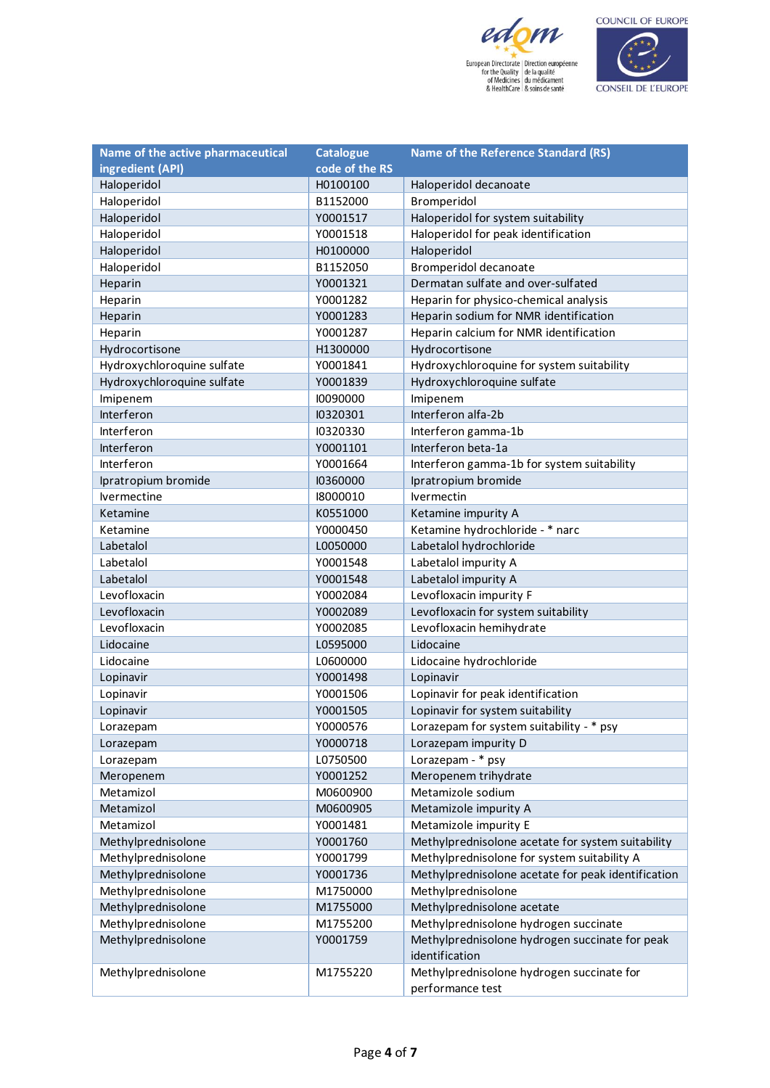



| Name of the active pharmaceutical | <b>Catalogue</b> | <b>Name of the Reference Standard (RS)</b>         |
|-----------------------------------|------------------|----------------------------------------------------|
| ingredient (API)                  | code of the RS   |                                                    |
| Haloperidol                       | H0100100         | Haloperidol decanoate                              |
| Haloperidol                       | B1152000         | Bromperidol                                        |
| Haloperidol                       | Y0001517         | Haloperidol for system suitability                 |
| Haloperidol                       | Y0001518         | Haloperidol for peak identification                |
| Haloperidol                       | H0100000         | Haloperidol                                        |
| Haloperidol                       | B1152050         | Bromperidol decanoate                              |
| Heparin                           | Y0001321         | Dermatan sulfate and over-sulfated                 |
| Heparin                           | Y0001282         | Heparin for physico-chemical analysis              |
| Heparin                           | Y0001283         | Heparin sodium for NMR identification              |
| Heparin                           | Y0001287         | Heparin calcium for NMR identification             |
| Hydrocortisone                    | H1300000         | Hydrocortisone                                     |
| Hydroxychloroquine sulfate        | Y0001841         | Hydroxychloroquine for system suitability          |
| Hydroxychloroquine sulfate        | Y0001839         | Hydroxychloroquine sulfate                         |
| Imipenem                          | 10090000         | Imipenem                                           |
| Interferon                        | 10320301         | Interferon alfa-2b                                 |
| Interferon                        | 10320330         | Interferon gamma-1b                                |
| Interferon                        | Y0001101         | Interferon beta-1a                                 |
| Interferon                        | Y0001664         | Interferon gamma-1b for system suitability         |
| Ipratropium bromide               | 10360000         | Ipratropium bromide                                |
| lvermectine                       | 18000010         | lvermectin                                         |
| Ketamine                          | K0551000         | Ketamine impurity A                                |
| Ketamine                          | Y0000450         | Ketamine hydrochloride - * narc                    |
| Labetalol                         | L0050000         | Labetalol hydrochloride                            |
| Labetalol                         | Y0001548         | Labetalol impurity A                               |
| Labetalol                         | Y0001548         | Labetalol impurity A                               |
| Levofloxacin                      | Y0002084         | Levofloxacin impurity F                            |
| Levofloxacin                      | Y0002089         | Levofloxacin for system suitability                |
| Levofloxacin                      | Y0002085         | Levofloxacin hemihydrate                           |
| Lidocaine                         | L0595000         | Lidocaine                                          |
| Lidocaine                         | L0600000         | Lidocaine hydrochloride                            |
| Lopinavir                         | Y0001498         | Lopinavir                                          |
| Lopinavir                         | Y0001506         | Lopinavir for peak identification                  |
| Lopinavir                         | Y0001505         | Lopinavir for system suitability                   |
| Lorazepam                         | Y0000576         | Lorazepam for system suitability - * psy           |
| Lorazepam                         | Y0000718         | Lorazepam impurity D                               |
| Lorazepam                         | L0750500         | Lorazepam - * psy                                  |
| Meropenem                         | Y0001252         | Meropenem trihydrate                               |
| Metamizol                         | M0600900         | Metamizole sodium                                  |
| Metamizol                         | M0600905         | Metamizole impurity A                              |
| Metamizol                         | Y0001481         | Metamizole impurity E                              |
| Methylprednisolone                | Y0001760         | Methylprednisolone acetate for system suitability  |
| Methylprednisolone                | Y0001799         | Methylprednisolone for system suitability A        |
| Methylprednisolone                | Y0001736         | Methylprednisolone acetate for peak identification |
| Methylprednisolone                | M1750000         | Methylprednisolone                                 |
| Methylprednisolone                | M1755000         | Methylprednisolone acetate                         |
| Methylprednisolone                | M1755200         | Methylprednisolone hydrogen succinate              |
| Methylprednisolone                | Y0001759         | Methylprednisolone hydrogen succinate for peak     |
|                                   |                  | identification                                     |
| Methylprednisolone                | M1755220         | Methylprednisolone hydrogen succinate for          |
|                                   |                  | performance test                                   |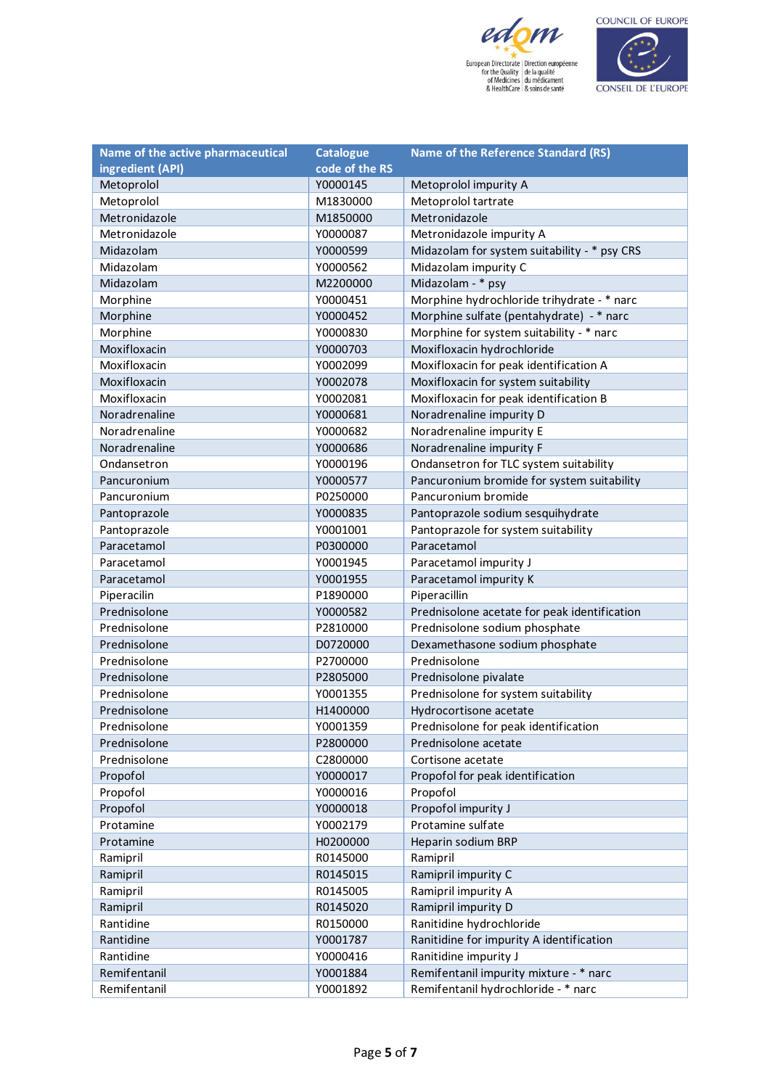



| Name of the active pharmaceutical | <b>Catalogue</b> | <b>Name of the Reference Standard (RS)</b>   |
|-----------------------------------|------------------|----------------------------------------------|
| ingredient (API)                  | code of the RS   |                                              |
| Metoprolol                        | Y0000145         | Metoprolol impurity A                        |
| Metoprolol                        | M1830000         | Metoprolol tartrate                          |
| Metronidazole                     | M1850000         | Metronidazole                                |
| Metronidazole                     | Y0000087         | Metronidazole impurity A                     |
| Midazolam                         | Y0000599         | Midazolam for system suitability - * psy CRS |
| Midazolam                         | Y0000562         | Midazolam impurity C                         |
| Midazolam                         | M2200000         | Midazolam - * psy                            |
| Morphine                          | Y0000451         | Morphine hydrochloride trihydrate - * narc   |
| Morphine                          | Y0000452         | Morphine sulfate (pentahydrate) - * narc     |
| Morphine                          | Y0000830         | Morphine for system suitability - * narc     |
| Moxifloxacin                      | Y0000703         | Moxifloxacin hydrochloride                   |
| Moxifloxacin                      | Y0002099         | Moxifloxacin for peak identification A       |
| Moxifloxacin                      | Y0002078         | Moxifloxacin for system suitability          |
| Moxifloxacin                      | Y0002081         | Moxifloxacin for peak identification B       |
| Noradrenaline                     | Y0000681         | Noradrenaline impurity D                     |
| Noradrenaline                     | Y0000682         | Noradrenaline impurity E                     |
| Noradrenaline                     | Y0000686         | Noradrenaline impurity F                     |
| Ondansetron                       | Y0000196         | Ondansetron for TLC system suitability       |
| Pancuronium                       | Y0000577         | Pancuronium bromide for system suitability   |
| Pancuronium                       | P0250000         | Pancuronium bromide                          |
| Pantoprazole                      | Y0000835         | Pantoprazole sodium sesquihydrate            |
| Pantoprazole                      | Y0001001         | Pantoprazole for system suitability          |
| Paracetamol                       | P0300000         | Paracetamol                                  |
| Paracetamol                       | Y0001945         | Paracetamol impurity J                       |
| Paracetamol                       | Y0001955         | Paracetamol impurity K                       |
| Piperacilin                       | P1890000         | Piperacillin                                 |
| Prednisolone                      | Y0000582         | Prednisolone acetate for peak identification |
| Prednisolone                      | P2810000         | Prednisolone sodium phosphate                |
| Prednisolone                      | D0720000         | Dexamethasone sodium phosphate               |
| Prednisolone                      | P2700000         | Prednisolone                                 |
| Prednisolone                      | P2805000         | Prednisolone pivalate                        |
| Prednisolone                      | Y0001355         | Prednisolone for system suitability          |
| Prednisolone                      | H1400000         | Hydrocortisone acetate                       |
| Prednisolone                      | Y0001359         | Prednisolone for peak identification         |
| Prednisolone                      | P2800000         | Prednisolone acetate                         |
| Prednisolone                      | C2800000         | Cortisone acetate                            |
| Propofol                          | Y0000017         | Propofol for peak identification             |
| Propofol                          | Y0000016         | Propofol                                     |
| Propofol                          | Y0000018         | Propofol impurity J                          |
| Protamine                         | Y0002179         | Protamine sulfate                            |
| Protamine                         | H0200000         | Heparin sodium BRP                           |
| Ramipril                          | R0145000         | Ramipril                                     |
| Ramipril                          | R0145015         | Ramipril impurity C                          |
| Ramipril                          | R0145005         | Ramipril impurity A                          |
| Ramipril                          | R0145020         | Ramipril impurity D                          |
| Rantidine                         | R0150000         | Ranitidine hydrochloride                     |
| Rantidine                         | Y0001787         | Ranitidine for impurity A identification     |
| Rantidine                         | Y0000416         | Ranitidine impurity J                        |
| Remifentanil                      | Y0001884         | Remifentanil impurity mixture - * narc       |
| Remifentanil                      | Y0001892         | Remifentanil hydrochloride - * narc          |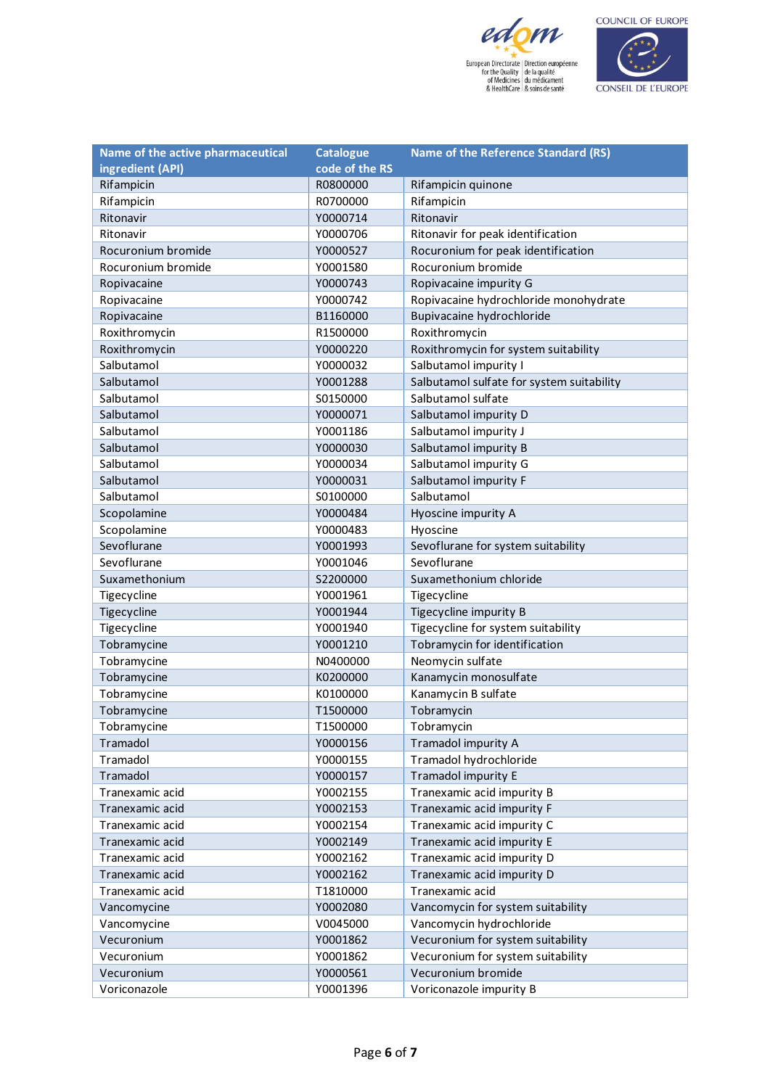



| Name of the active pharmaceutical | <b>Catalogue</b> | <b>Name of the Reference Standard (RS)</b> |
|-----------------------------------|------------------|--------------------------------------------|
| ingredient (API)                  | code of the RS   |                                            |
| Rifampicin                        | R0800000         | Rifampicin quinone                         |
| Rifampicin                        | R0700000         | Rifampicin                                 |
| Ritonavir                         | Y0000714         | Ritonavir                                  |
| Ritonavir                         | Y0000706         | Ritonavir for peak identification          |
| Rocuronium bromide                | Y0000527         | Rocuronium for peak identification         |
| Rocuronium bromide                | Y0001580         | Rocuronium bromide                         |
| Ropivacaine                       | Y0000743         | Ropivacaine impurity G                     |
| Ropivacaine                       | Y0000742         | Ropivacaine hydrochloride monohydrate      |
| Ropivacaine                       | B1160000         | Bupivacaine hydrochloride                  |
| Roxithromycin                     | R1500000         | Roxithromycin                              |
| Roxithromycin                     | Y0000220         | Roxithromycin for system suitability       |
| Salbutamol                        | Y0000032         | Salbutamol impurity I                      |
| Salbutamol                        | Y0001288         | Salbutamol sulfate for system suitability  |
| Salbutamol                        | S0150000         | Salbutamol sulfate                         |
| Salbutamol                        | Y0000071         | Salbutamol impurity D                      |
| Salbutamol                        | Y0001186         | Salbutamol impurity J                      |
| Salbutamol                        | Y0000030         | Salbutamol impurity B                      |
| Salbutamol                        | Y0000034         | Salbutamol impurity G                      |
| Salbutamol                        | Y0000031         | Salbutamol impurity F                      |
| Salbutamol                        | S0100000         | Salbutamol                                 |
| Scopolamine                       | Y0000484         | Hyoscine impurity A                        |
| Scopolamine                       | Y0000483         | Hyoscine                                   |
| Sevoflurane                       | Y0001993         | Sevoflurane for system suitability         |
| Sevoflurane                       | Y0001046         | Sevoflurane                                |
| Suxamethonium                     | S2200000         | Suxamethonium chloride                     |
| Tigecycline                       | Y0001961         | Tigecycline                                |
| Tigecycline                       | Y0001944         | Tigecycline impurity B                     |
| Tigecycline                       | Y0001940         | Tigecycline for system suitability         |
| Tobramycine                       | Y0001210         | Tobramycin for identification              |
| Tobramycine                       | N0400000         | Neomycin sulfate                           |
| Tobramycine                       | K0200000         | Kanamycin monosulfate                      |
| Tobramycine                       | K0100000         | Kanamycin B sulfate                        |
| Tobramycine                       | T1500000         | Tobramycin                                 |
| Tobramycine                       | T1500000         | Tobramycin                                 |
| Tramadol                          | Y0000156         | Tramadol impurity A                        |
| Tramadol                          | Y0000155         | Tramadol hydrochloride                     |
| Tramadol                          | Y0000157         | Tramadol impurity E                        |
| Tranexamic acid                   | Y0002155         | Tranexamic acid impurity B                 |
| Tranexamic acid                   | Y0002153         | Tranexamic acid impurity F                 |
| Tranexamic acid                   | Y0002154         | Tranexamic acid impurity C                 |
| Tranexamic acid                   | Y0002149         | Tranexamic acid impurity E                 |
| Tranexamic acid                   | Y0002162         | Tranexamic acid impurity D                 |
| Tranexamic acid                   | Y0002162         | Tranexamic acid impurity D                 |
| Tranexamic acid                   | T1810000         | Tranexamic acid                            |
| Vancomycine                       | Y0002080         | Vancomycin for system suitability          |
| Vancomycine                       | V0045000         | Vancomycin hydrochloride                   |
| Vecuronium                        | Y0001862         | Vecuronium for system suitability          |
| Vecuronium                        | Y0001862         | Vecuronium for system suitability          |
| Vecuronium                        | Y0000561         | Vecuronium bromide                         |
| Voriconazole                      | Y0001396         | Voriconazole impurity B                    |